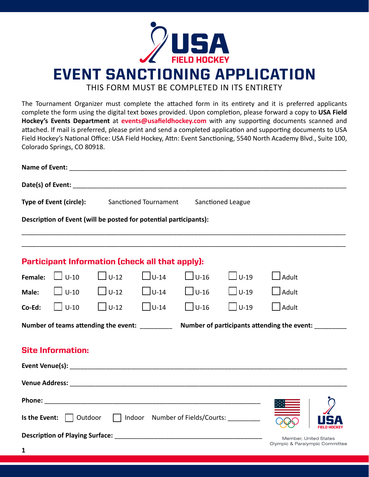

EVENT SANCTIONING APPLICATION

THIS FORM MUST BE COMPLETED IN ITS ENTIRETY

The Tournament Organizer must complete the attached form in its entirety and it is preferred applicants complete the form using the digital text boxes provided. Upon completion, please forward a copy to **USA Field**  Hockey's Events Department at event[s@usafieldhockey.com](mailto:events%40usafieldhockey.com?subject=) with any supporting documents scanned and attached. If mail is preferred, please print and send a completed application and supporting documents to USA Field Hockey's National Office: USA Field Hockey, Attn: Event Sanctioning, 5540 North Academy Blvd., Suite 100, Colorado Springs, CO 80918.

| Type of Event (circle):<br>Sanctioned Tournament<br>Sanctioned League                                                                                                                                                         |                           |                                                 |                |                               |                |              |  |  |  |
|-------------------------------------------------------------------------------------------------------------------------------------------------------------------------------------------------------------------------------|---------------------------|-------------------------------------------------|----------------|-------------------------------|----------------|--------------|--|--|--|
| Description of Event (will be posted for potential participants):                                                                                                                                                             |                           |                                                 |                |                               |                |              |  |  |  |
|                                                                                                                                                                                                                               |                           | Participant Information (check all that apply): |                |                               |                |              |  |  |  |
|                                                                                                                                                                                                                               | Female: $\Box$ U-10       | $\Box$ U-12                                     | $\bigcup$ U-14 | $\bigcup$ U-16                | $\bigcup$ U-19 | $\Box$ Adult |  |  |  |
|                                                                                                                                                                                                                               | Male: $\Box$ U-10         | $\bigcup$ U-12                                  |                | $\bigcup$ U-14 $\bigcup$ U-16 | $\bigcup$ U-19 | $\Box$ Adult |  |  |  |
|                                                                                                                                                                                                                               | <b>Co-Ed:</b> $  \cup 10$ | $\Box$ U-12                                     | $\Box$ U-14    | $\Box$ U-16                   | $\Box$ U-19    | $\Box$ Adult |  |  |  |
| Number of participants attending the event:<br>Number of teams attending the event:                                                                                                                                           |                           |                                                 |                |                               |                |              |  |  |  |
| <b>Site Information:</b>                                                                                                                                                                                                      |                           |                                                 |                |                               |                |              |  |  |  |
| Venue Address: National Address: National Address: National Address: National Address: National Address: National Address: National Address: National Address: National Address: National Address: National Address: National |                           |                                                 |                |                               |                |              |  |  |  |
|                                                                                                                                                                                                                               |                           |                                                 |                |                               |                |              |  |  |  |
| Is the Event: 0utdoor 1 Indoor Number of Fields/Courts:                                                                                                                                                                       |                           |                                                 |                |                               |                |              |  |  |  |
| Member, United States<br>Olympic & Paralympic Committee                                                                                                                                                                       |                           |                                                 |                |                               |                |              |  |  |  |
| $\mathbf{1}$                                                                                                                                                                                                                  |                           |                                                 |                |                               |                |              |  |  |  |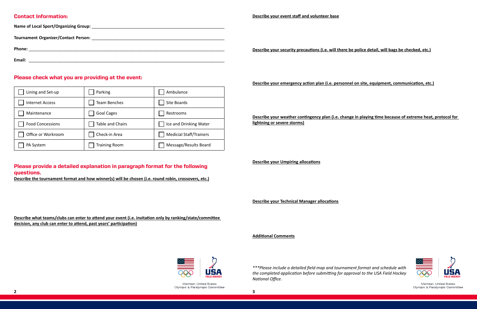**Le be police detail, will bags be checked, etc.)** 



Member, United States Olympic & Paralympic Committee

## Contact Information:

| <b>Name of Local Sport/Organizing Group:</b><br><u> 1990 - Johann John Stein, mars an deus de Francisco (f. 1989)</u> |                                                     |
|-----------------------------------------------------------------------------------------------------------------------|-----------------------------------------------------|
| <b>Tournament Organizer/Contact Person:</b>                                                                           |                                                     |
| Phone:                                                                                                                | Describe your security precautions (i.e. will there |
| Email:                                                                                                                |                                                     |

## Please check what you are providing at the event:

## Please provide a detailed explanation in paragraph format for the following questions.

**Describe the tournament format and how winner(s) will be chosen (i.e. round robin, crossovers, etc.)**

**Describe what teams/clubs can enter to attend your event (i.e. invitation only by ranking/state/committee** 

**decision, any club can enter to attend, past years' participation)**

| Lining and Set-up       | Parking              | Ambulance                      |
|-------------------------|----------------------|--------------------------------|
| <b>Internet Access</b>  | Team Benches         | Site Boards                    |
| Maintenance             | <b>Goal Cages</b>    | Restrooms                      |
| <b>Food Concessions</b> | Table and Chairs     | Ice and Drinking Water         |
| Office or Workroom      | Check-in Area        | <b>Medicial Staff/Trainers</b> |
| PA System               | <b>Training Room</b> | Message/Results Board          |

**Describe your emergency action plan (i.e. personnel on site, equipment, communication, etc.)**

**Describe your weather contingency plan (i.e. change in playing time because of extreme heat, protocol for lightning or severe storms)**

**Describe your Umpiring allocations**

**Describe your Technical Manager allocations**

**Additional Comments**



Member, United States Olympic & Paralympic Committee

*\*\*\*Please include a detailed field map and tournament format and schedule with the completed application before submitting for approval to the USA Field Hockey National Office.*